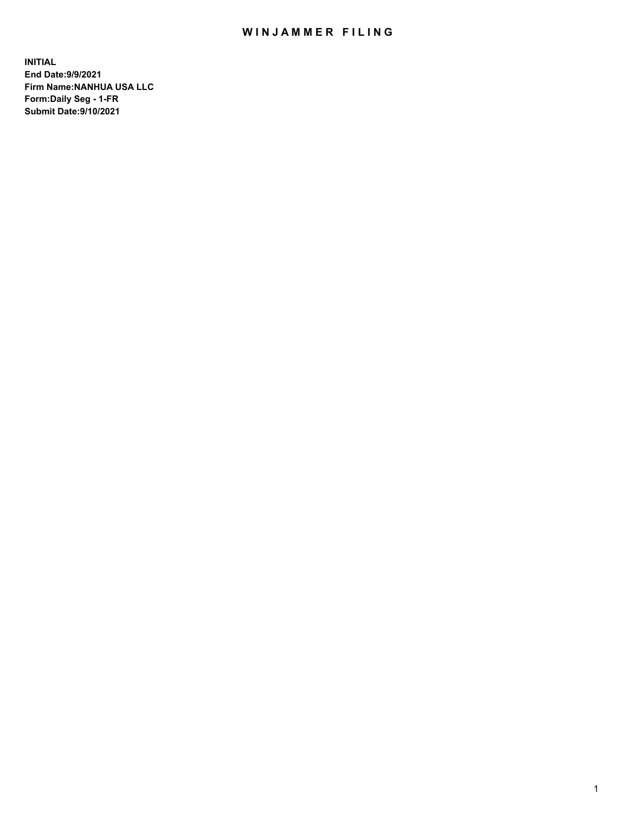## WIN JAMMER FILING

**INITIAL End Date:9/9/2021 Firm Name:NANHUA USA LLC Form:Daily Seg - 1-FR Submit Date:9/10/2021**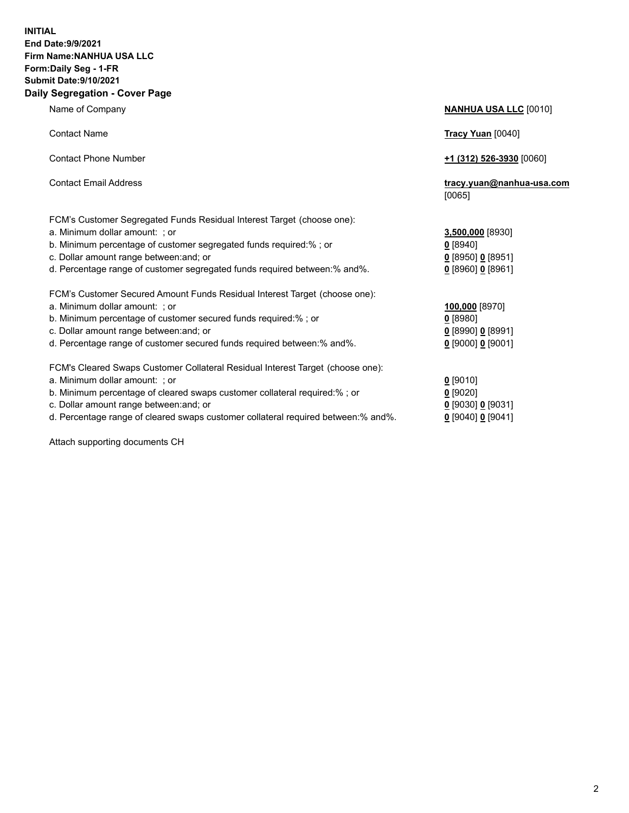## **INITIAL End Date:9/9/2021 Firm Name:NANHUA USA LLC Form:Daily Seg - 1-FR Submit Date:9/10/2021 Daily Segregation - Cover Page**

Name of Company **NANHUA USA LLC** [0010] Contact Name **Tracy Yuan** [0040] Contact Phone Number **+1 (312) 526-3930** [0060] Contact Email Address **tracy.yuan@nanhua-usa.com** [0065] FCM's Customer Segregated Funds Residual Interest Target (choose one): a. Minimum dollar amount: ; or **3,500,000** [8930] b. Minimum percentage of customer segregated funds required:% ; or **0** [8940] c. Dollar amount range between:and; or **0** [8950] **0** [8951] d. Percentage range of customer segregated funds required between:% and%. **0** [8960] **0** [8961] FCM's Customer Secured Amount Funds Residual Interest Target (choose one): a. Minimum dollar amount: ; or **100,000** [8970] b. Minimum percentage of customer secured funds required:% ; or **0** [8980] c. Dollar amount range between:and; or **0** [8990] **0** [8991] d. Percentage range of customer secured funds required between:% and%. **0** [9000] **0** [9001] FCM's Cleared Swaps Customer Collateral Residual Interest Target (choose one): a. Minimum dollar amount: ; or **0** [9010] b. Minimum percentage of cleared swaps customer collateral required:% ; or **0** [9020] c. Dollar amount range between:and; or **0** [9030] **0** [9031]

d. Percentage range of cleared swaps customer collateral required between:% and%. **0** [9040] **0** [9041]

Attach supporting documents CH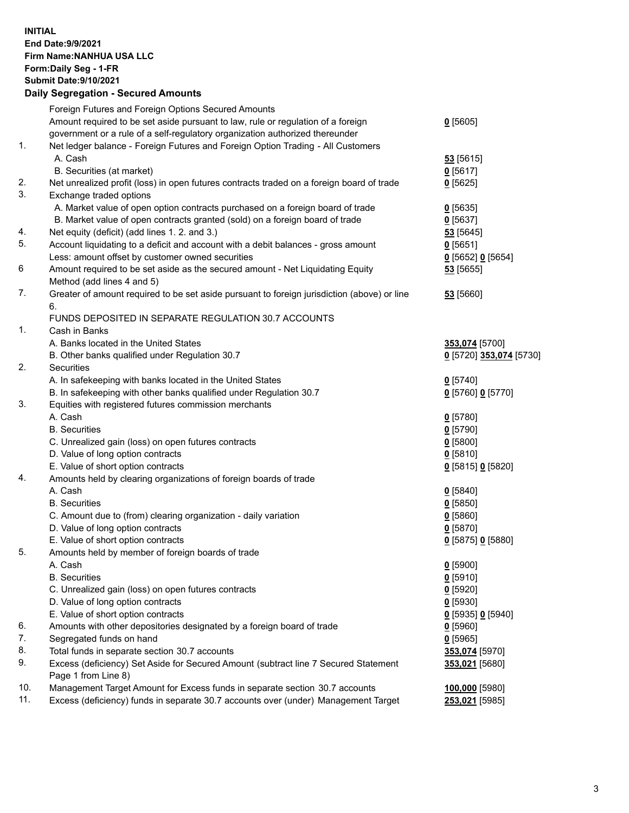## **INITIAL End Date:9/9/2021 Firm Name:NANHUA USA LLC Form:Daily Seg - 1-FR Submit Date:9/10/2021 Daily Segregation - Secured Amounts**

|          | Dany Ocgregation - Oceanea Anioanta                                                                       |                          |
|----------|-----------------------------------------------------------------------------------------------------------|--------------------------|
|          | Foreign Futures and Foreign Options Secured Amounts                                                       |                          |
|          | Amount required to be set aside pursuant to law, rule or regulation of a foreign                          | $0$ [5605]               |
|          | government or a rule of a self-regulatory organization authorized thereunder                              |                          |
| 1.       | Net ledger balance - Foreign Futures and Foreign Option Trading - All Customers                           |                          |
|          | A. Cash                                                                                                   | 53 [5615]                |
|          | B. Securities (at market)                                                                                 | $0$ [5617]               |
| 2.<br>3. | Net unrealized profit (loss) in open futures contracts traded on a foreign board of trade                 | $0$ [5625]               |
|          | Exchange traded options<br>A. Market value of open option contracts purchased on a foreign board of trade |                          |
|          | B. Market value of open contracts granted (sold) on a foreign board of trade                              | $0$ [5635]<br>$0$ [5637] |
| 4.       | Net equity (deficit) (add lines 1. 2. and 3.)                                                             | 53 [5645]                |
| 5.       | Account liquidating to a deficit and account with a debit balances - gross amount                         | $0$ [5651]               |
|          | Less: amount offset by customer owned securities                                                          | $Q$ [5652] $Q$ [5654]    |
| 6        | Amount required to be set aside as the secured amount - Net Liquidating Equity                            | $53$ [5655]              |
|          | Method (add lines 4 and 5)                                                                                |                          |
| 7.       | Greater of amount required to be set aside pursuant to foreign jurisdiction (above) or line               | 53 [5660]                |
|          | 6.                                                                                                        |                          |
|          | FUNDS DEPOSITED IN SEPARATE REGULATION 30.7 ACCOUNTS                                                      |                          |
| 1.       | Cash in Banks                                                                                             |                          |
|          | A. Banks located in the United States                                                                     | 353,074 [5700]           |
|          | B. Other banks qualified under Regulation 30.7                                                            | 0 [5720] 353,074 [5730]  |
| 2.       | Securities                                                                                                |                          |
|          | A. In safekeeping with banks located in the United States                                                 | $Q$ [5740]               |
|          | B. In safekeeping with other banks qualified under Regulation 30.7                                        | 0 [5760] 0 [5770]        |
| 3.       | Equities with registered futures commission merchants                                                     |                          |
|          | A. Cash                                                                                                   | $0$ [5780]               |
|          | <b>B.</b> Securities                                                                                      | $0$ [5790]               |
|          | C. Unrealized gain (loss) on open futures contracts                                                       | $0$ [5800]               |
|          | D. Value of long option contracts                                                                         | $0$ [5810]               |
|          | E. Value of short option contracts                                                                        | 0 [5815] 0 [5820]        |
| 4.       | Amounts held by clearing organizations of foreign boards of trade                                         |                          |
|          | A. Cash                                                                                                   | $0$ [5840]               |
|          | <b>B.</b> Securities                                                                                      | $0$ [5850]               |
|          | C. Amount due to (from) clearing organization - daily variation                                           | $0$ [5860]               |
|          | D. Value of long option contracts                                                                         | $0$ [5870]               |
| 5.       | E. Value of short option contracts                                                                        | 0 [5875] 0 [5880]        |
|          | Amounts held by member of foreign boards of trade<br>A. Cash                                              |                          |
|          | <b>B.</b> Securities                                                                                      | $0$ [5900]               |
|          |                                                                                                           | $0$ [5910]               |
|          | C. Unrealized gain (loss) on open futures contracts<br>D. Value of long option contracts                  | $0$ [5920]<br>$0$ [5930] |
|          | E. Value of short option contracts                                                                        | 0 [5935] 0 [5940]        |
| 6.       | Amounts with other depositories designated by a foreign board of trade                                    | $0$ [5960]               |
| 7.       | Segregated funds on hand                                                                                  | $0$ [5965]               |
| 8.       | Total funds in separate section 30.7 accounts                                                             | 353,074 [5970]           |
| 9.       | Excess (deficiency) Set Aside for Secured Amount (subtract line 7 Secured Statement                       | 353,021 [5680]           |
|          | Page 1 from Line 8)                                                                                       |                          |
| 10.      | Management Target Amount for Excess funds in separate section 30.7 accounts                               | 100,000 [5980]           |
| 11.      | Excess (deficiency) funds in separate 30.7 accounts over (under) Management Target                        | 253,021 [5985]           |
|          |                                                                                                           |                          |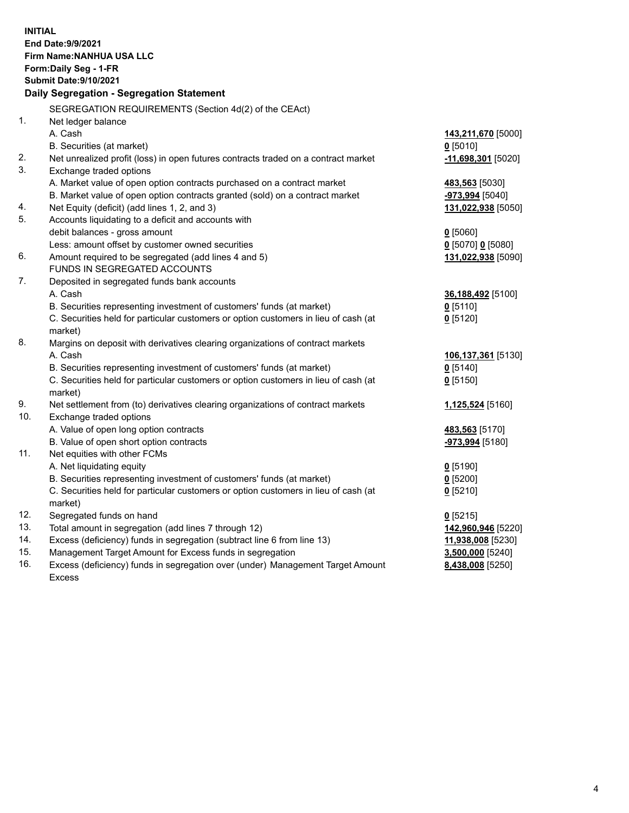| <b>INITIAL</b> | End Date: 9/9/2021<br>Firm Name: NANHUA USA LLC<br>Form: Daily Seg - 1-FR<br><b>Submit Date: 9/10/2021</b><br>Daily Segregation - Segregation Statement |                        |
|----------------|---------------------------------------------------------------------------------------------------------------------------------------------------------|------------------------|
|                | SEGREGATION REQUIREMENTS (Section 4d(2) of the CEAct)                                                                                                   |                        |
| 1.             | Net ledger balance                                                                                                                                      |                        |
|                | A. Cash                                                                                                                                                 | 143,211,670 [5000]     |
|                | B. Securities (at market)                                                                                                                               | $0$ [5010]             |
| 2.             | Net unrealized profit (loss) in open futures contracts traded on a contract market                                                                      | -11,698,301 [5020]     |
| 3.             | Exchange traded options                                                                                                                                 |                        |
|                | A. Market value of open option contracts purchased on a contract market                                                                                 | 483,563 [5030]         |
|                | B. Market value of open option contracts granted (sold) on a contract market                                                                            | <u>-973,994</u> [5040] |
| 4.             | Net Equity (deficit) (add lines 1, 2, and 3)                                                                                                            | 131,022,938 [5050]     |
| 5.             | Accounts liquidating to a deficit and accounts with                                                                                                     |                        |
|                | debit balances - gross amount                                                                                                                           | $0$ [5060]             |
|                | Less: amount offset by customer owned securities                                                                                                        | $0$ [5070] 0 [5080]    |
| 6.             | Amount required to be segregated (add lines 4 and 5)<br>FUNDS IN SEGREGATED ACCOUNTS                                                                    | 131,022,938 [5090]     |
| 7.             | Deposited in segregated funds bank accounts                                                                                                             |                        |
|                | A. Cash                                                                                                                                                 | 36,188,492 [5100]      |
|                | B. Securities representing investment of customers' funds (at market)                                                                                   | $0$ [5110]             |
|                | C. Securities held for particular customers or option customers in lieu of cash (at                                                                     | $0$ [5120]             |
|                | market)                                                                                                                                                 |                        |
| 8.             | Margins on deposit with derivatives clearing organizations of contract markets                                                                          |                        |
|                | A. Cash                                                                                                                                                 | 106,137,361 [5130]     |
|                | B. Securities representing investment of customers' funds (at market)                                                                                   | $0$ [5140]             |
|                | C. Securities held for particular customers or option customers in lieu of cash (at                                                                     | $0$ [5150]             |
|                | market)                                                                                                                                                 |                        |
| 9.             | Net settlement from (to) derivatives clearing organizations of contract markets                                                                         | 1,125,524 [5160]       |
| 10.            | Exchange traded options                                                                                                                                 |                        |
|                | A. Value of open long option contracts                                                                                                                  | 483,563 [5170]         |
|                | B. Value of open short option contracts                                                                                                                 | -973,994 [5180]        |
| 11.            | Net equities with other FCMs                                                                                                                            |                        |
|                | A. Net liquidating equity                                                                                                                               | $0$ [5190]             |
|                | B. Securities representing investment of customers' funds (at market)                                                                                   | 0 [5200]               |
|                | C. Securities held for particular customers or option customers in lieu of cash (at                                                                     | $0$ [5210]             |
|                | market)                                                                                                                                                 |                        |
| 12.            | Segregated funds on hand                                                                                                                                | $0$ [5215]             |
| 13.            | Total amount in segregation (add lines 7 through 12)                                                                                                    | 142,960,946 [5220]     |
| 14.            | Excess (deficiency) funds in segregation (subtract line 6 from line 13)                                                                                 | 11,938,008 [5230]      |
| 15.            | Management Target Amount for Excess funds in segregation                                                                                                | $3,500,000$ [5240]     |
| 16.            | Excess (deficiency) funds in segregation over (under) Management Target Amount                                                                          | 8,438,008 [5250]       |
|                | <b>Excess</b>                                                                                                                                           |                        |